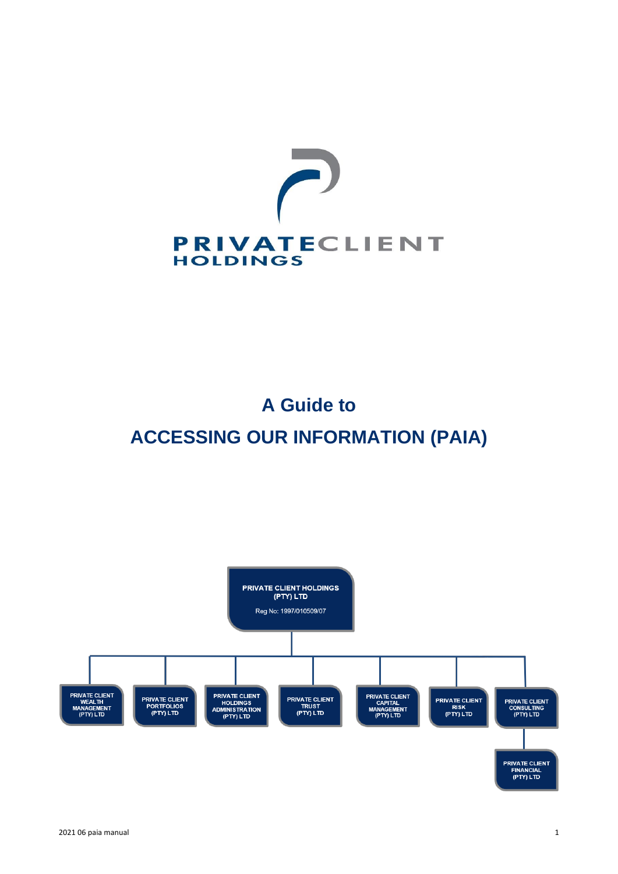

# **A Guide to ACCESSING OUR INFORMATION (PAIA)**

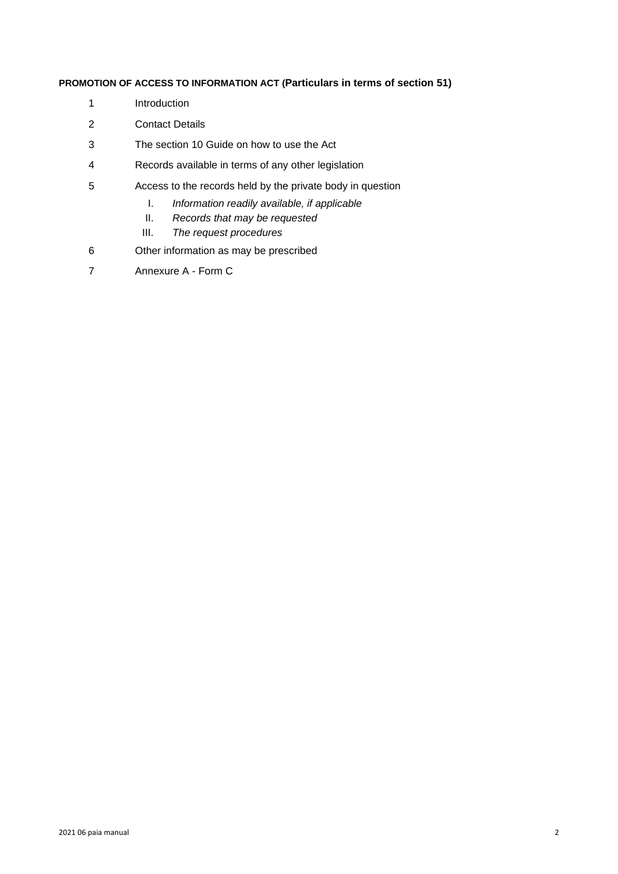# **PROMOTION OF ACCESS TO INFORMATION ACT (Particulars in terms of section 51)**

- 1 Introduction
- 2 Contact Details
- 3 The section 10 Guide on how to use the Act
- 4 Records available in terms of any other legislation
- 5 Access to the records held by the private body in question
	- I. *Information readily available, if applicable*
	- II. *Records that may be requested*
	- III. *The request procedures*
- 6 Other information as may be prescribed
- 7 Annexure A Form C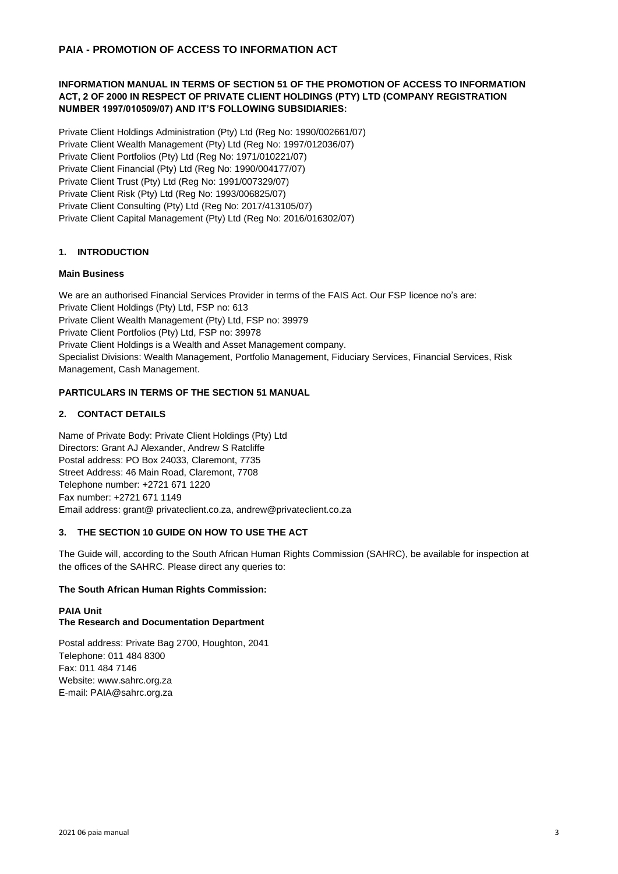# **INFORMATION MANUAL IN TERMS OF SECTION 51 OF THE PROMOTION OF ACCESS TO INFORMATION ACT, 2 OF 2000 IN RESPECT OF PRIVATE CLIENT HOLDINGS (PTY) LTD (COMPANY REGISTRATION NUMBER 1997/010509/07) AND IT'S FOLLOWING SUBSIDIARIES:**

Private Client Holdings Administration (Pty) Ltd (Reg No: 1990/002661/07) Private Client Wealth Management (Pty) Ltd (Reg No: 1997/012036/07) Private Client Portfolios (Pty) Ltd (Reg No: 1971/010221/07) Private Client Financial (Pty) Ltd (Reg No: 1990/004177/07) Private Client Trust (Pty) Ltd (Reg No: 1991/007329/07) Private Client Risk (Pty) Ltd (Reg No: 1993/006825/07) Private Client Consulting (Pty) Ltd (Reg No: 2017/413105/07) Private Client Capital Management (Pty) Ltd (Reg No: 2016/016302/07)

# **1. INTRODUCTION**

# **Main Business**

We are an authorised Financial Services Provider in terms of the FAIS Act. Our FSP licence no's are: Private Client Holdings (Pty) Ltd, FSP no: 613 Private Client Wealth Management (Pty) Ltd, FSP no: 39979 Private Client Portfolios (Pty) Ltd, FSP no: 39978 Private Client Holdings is a Wealth and Asset Management company. Specialist Divisions: Wealth Management, Portfolio Management, Fiduciary Services, Financial Services, Risk Management, Cash Management.

# **PARTICULARS IN TERMS OF THE SECTION 51 MANUAL**

# **2. CONTACT DETAILS**

Name of Private Body: Private Client Holdings (Pty) Ltd Directors: Grant AJ Alexander, Andrew S Ratcliffe Postal address: PO Box 24033, Claremont, 7735 Street Address: 46 Main Road, Claremont, 7708 Telephone number: +2721 671 1220 Fax number: +2721 671 1149 Email address: grant@ privateclient.co.za, andrew@privateclient.co.za

# **3. THE SECTION 10 GUIDE ON HOW TO USE THE ACT**

The Guide will, according to the South African Human Rights Commission (SAHRC), be available for inspection at the offices of the SAHRC. Please direct any queries to:

# **The South African Human Rights Commission:**

# **PAIA Unit The Research and Documentation Department**

Postal address: Private Bag 2700, Houghton, 2041 Telephone: 011 484 8300 Fax: 011 484 7146 Website: www.sahrc.org.za E-mail: PAIA@sahrc.org.za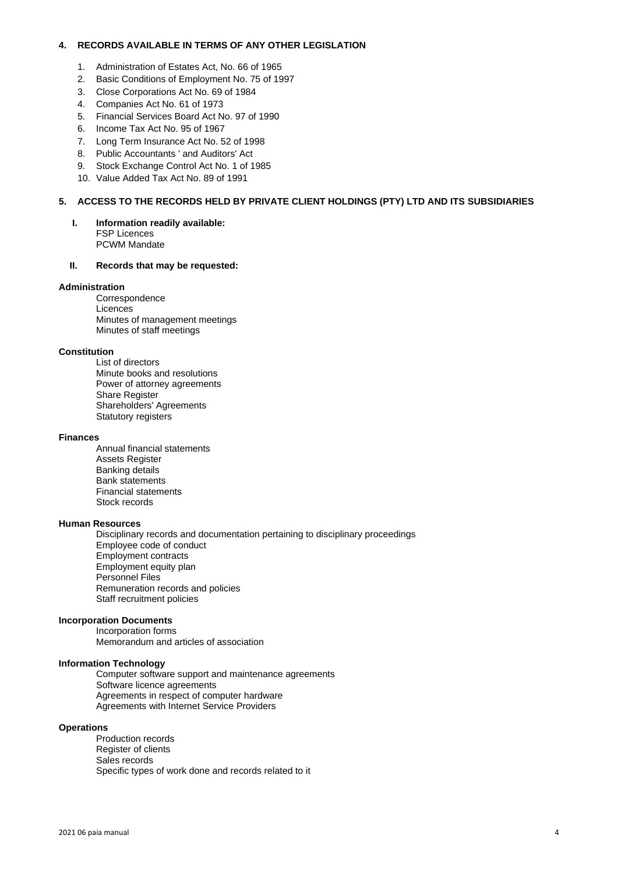## **4. RECORDS AVAILABLE IN TERMS OF ANY OTHER LEGISLATION**

- 1. Administration of Estates Act, No. 66 of 1965
- 2. Basic Conditions of Employment No. 75 of 1997
- 3. Close Corporations Act No. 69 of 1984
- 4. Companies Act No. 61 of 1973
- 5. Financial Services Board Act No. 97 of 1990
- 6. Income Tax Act No. 95 of 1967
- 7. Long Term Insurance Act No. 52 of 1998
- 8. Public Accountants ' and Auditors' Act
- 9. Stock Exchange Control Act No. 1 of 1985
- 10. Value Added Tax Act No. 89 of 1991

### **5. ACCESS TO THE RECORDS HELD BY PRIVATE CLIENT HOLDINGS (PTY) LTD AND ITS SUBSIDIARIES**

**I. Information readily available:** FSP Licences PCWM Mandate

## **II. Records that may be requested:**

#### **Administration**

Correspondence **Licences** Minutes of management meetings Minutes of staff meetings

#### **Constitution**

List of directors Minute books and resolutions Power of attorney agreements Share Register Shareholders' Agreements Statutory registers

#### **Finances**

Annual financial statements Assets Register Banking details Bank statements Financial statements Stock records

#### **Human Resources**

Disciplinary records and documentation pertaining to disciplinary proceedings Employee code of conduct Employment contracts Employment equity plan Personnel Files Remuneration records and policies Staff recruitment policies

#### **Incorporation Documents**

Incorporation forms Memorandum and articles of association

#### **Information Technology**

Computer software support and maintenance agreements Software licence agreements Agreements in respect of computer hardware Agreements with Internet Service Providers

#### **Operations**

Production records Register of clients Sales records Specific types of work done and records related to it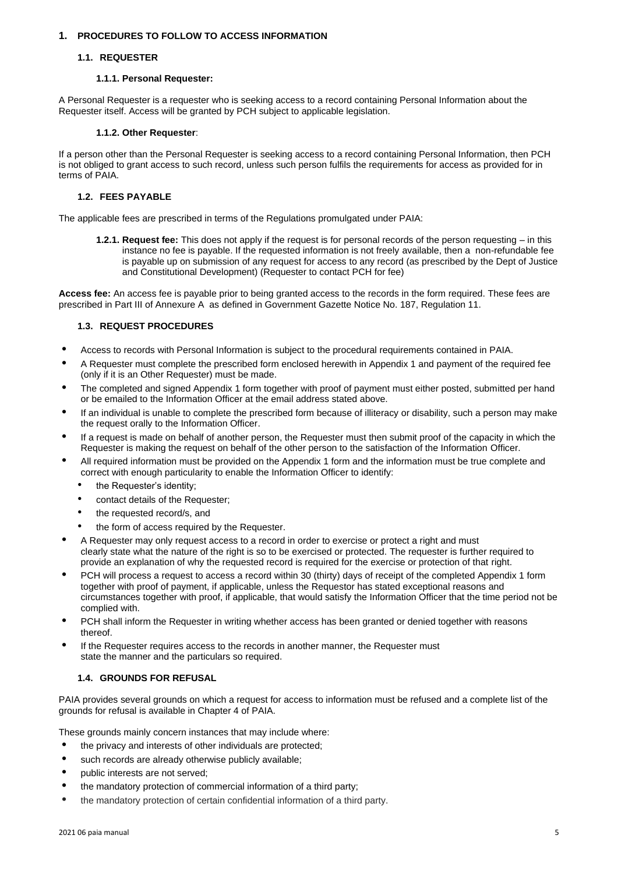## **1. PROCEDURES TO FOLLOW TO ACCESS INFORMATION**

## **1.1. REQUESTER**

## **1.1.1. Personal Requester:**

A Personal Requester is a requester who is seeking access to a record containing Personal Information about the Requester itself. Access will be granted by PCH subject to applicable legislation.

## **1.1.2. Other Requester**:

If a person other than the Personal Requester is seeking access to a record containing Personal Information, then PCH is not obliged to grant access to such record, unless such person fulfils the requirements for access as provided for in terms of PAIA.

# **1.2. FEES PAYABLE**

The applicable fees are prescribed in terms of the Regulations promulgated under PAIA:

**1.2.1. Request fee:** This does not apply if the request is for personal records of the person requesting – in this instance no fee is payable. If the requested information is not freely available, then a non-refundable fee is payable up on submission of any request for access to any record (as prescribed by the Dept of Justice and Constitutional Development) (Requester to contact PCH for fee)

**Access fee:** An access fee is payable prior to being granted access to the records in the form required. These fees are prescribed in Part III of Annexure A as defined in Government Gazette Notice No. 187, Regulation 11.

# **1.3. REQUEST PROCEDURES**

- **•** Access to records with Personal Information is subject to the procedural requirements contained in PAIA.
- **•** A Requester must complete the prescribed form enclosed herewith in Appendix 1 and payment of the required fee (only if it is an Other Requester) must be made.
- **•** The completed and signed Appendix 1 form together with proof of payment must either posted, submitted per hand or be emailed to the Information Officer at the email address stated above.
- **•** If an individual is unable to complete the prescribed form because of illiteracy or disability, such a person may make the request orally to the Information Officer.
- **•** If a request is made on behalf of another person, the Requester must then submit proof of the capacity in which the Requester is making the request on behalf of the other person to the satisfaction of the Information Officer.
- **•** All required information must be provided on the Appendix 1 form and the information must be true complete and correct with enough particularity to enable the Information Officer to identify:
	- the Requester's identity;
	- contact details of the Requester;
	- the requested record/s, and
	- the form of access required by the Requester.
- **•** A Requester may only request access to a record in order to exercise or protect a right and must clearly state what the nature of the right is so to be exercised or protected. The requester is further required to provide an explanation of why the requested record is required for the exercise or protection of that right.
- **•** PCH will process a request to access a record within 30 (thirty) days of receipt of the completed Appendix 1 form together with proof of payment, if applicable, unless the Requestor has stated exceptional reasons and circumstances together with proof, if applicable, that would satisfy the Information Officer that the time period not be complied with.
- **•** PCH shall inform the Requester in writing whether access has been granted or denied together with reasons thereof.
- **•** If the Requester requires access to the records in another manner, the Requester must state the manner and the particulars so required.

# **1.4. GROUNDS FOR REFUSAL**

PAIA provides several grounds on which a request for access to information must be refused and a complete list of the grounds for refusal is available in Chapter 4 of PAIA.

These grounds mainly concern instances that may include where:

- **•** the privacy and interests of other individuals are protected;
- **•** such records are already otherwise publicly available;
- **•** public interests are not served;
- **•** the mandatory protection of commercial information of a third party;
- **•** the mandatory protection of certain confidential information of a third party.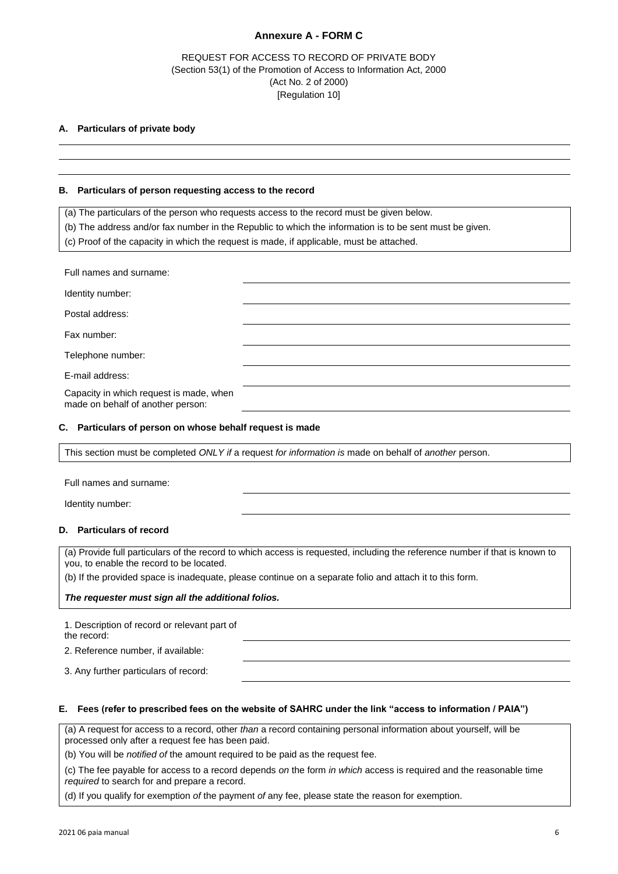# **Annexure A - FORM C**

# REQUEST FOR ACCESS TO RECORD OF PRIVATE BODY (Section 53(1) of the Promotion of Access to Information Act, 2000 (Act No. 2 of 2000) [Regulation 10]

# **A. Particulars of private body**

#### **B. Particulars of person requesting access to the record**

(a) The particulars of the person who requests access to the record must be given below.

(b) The address and/or fax number in the Republic to which the information is to be sent must be given.

(c) Proof of the capacity in which the request is made, if applicable, must be attached.

| Full names and surname:                                                      |  |
|------------------------------------------------------------------------------|--|
| Identity number:                                                             |  |
| Postal address:                                                              |  |
| Fax number:                                                                  |  |
| Telephone number:                                                            |  |
| E-mail address:                                                              |  |
| Capacity in which request is made, when<br>made on behalf of another person: |  |

#### **C. Particulars of person on whose behalf request is made**

This section must be completed *ONLY if* a request *for information is* made on behalf of *another* person.

Full names and surname:

Identity number:

## **D. Particulars of record**

(a) Provide full particulars of the record to which access is requested, including the reference number if that is known to you, to enable the record to be located.

(b) If the provided space is inadequate, please continue on a separate folio and attach it to this form.

#### *The requester must sign all the additional folios.*

1. Description of record or relevant part of the record: 2. Reference number, if available: 3. Any further particulars of record:

## **E. Fees (refer to prescribed fees on the website of SAHRC under the link "access to information / PAIA")**

(a) A request for access to a record, other *than* a record containing personal information about yourself, will be processed only after a request fee has been paid.

(b) You will be *notified of* the amount required to be paid as the request fee.

(c) The fee payable for access to a record depends *on* the form *in which* access is required and the reasonable time *required* to search for and prepare a record.

(d) If you qualify for exemption *of* the payment *of* any fee, please state the reason for exemption.